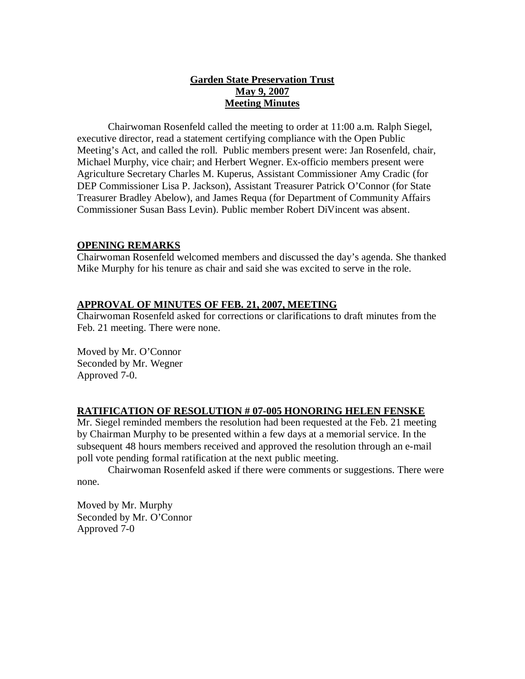# **Garden State Preservation Trust May 9, 2007 Meeting Minutes**

Chairwoman Rosenfeld called the meeting to order at 11:00 a.m. Ralph Siegel, executive director, read a statement certifying compliance with the Open Public Meeting's Act, and called the roll. Public members present were: Jan Rosenfeld, chair, Michael Murphy, vice chair; and Herbert Wegner. Ex-officio members present were Agriculture Secretary Charles M. Kuperus, Assistant Commissioner Amy Cradic (for DEP Commissioner Lisa P. Jackson), Assistant Treasurer Patrick O'Connor (for State Treasurer Bradley Abelow), and James Requa (for Department of Community Affairs Commissioner Susan Bass Levin). Public member Robert DiVincent was absent.

# **OPENING REMARKS**

Chairwoman Rosenfeld welcomed members and discussed the day's agenda. She thanked Mike Murphy for his tenure as chair and said she was excited to serve in the role.

## **APPROVAL OF MINUTES OF FEB. 21, 2007, MEETING**

Chairwoman Rosenfeld asked for corrections or clarifications to draft minutes from the Feb. 21 meeting. There were none.

Moved by Mr. O'Connor Seconded by Mr. Wegner Approved 7-0.

# **RATIFICATION OF RESOLUTION # 07-005 HONORING HELEN FENSKE**

Mr. Siegel reminded members the resolution had been requested at the Feb. 21 meeting by Chairman Murphy to be presented within a few days at a memorial service. In the subsequent 48 hours members received and approved the resolution through an e-mail poll vote pending formal ratification at the next public meeting.

Chairwoman Rosenfeld asked if there were comments or suggestions. There were none.

Moved by Mr. Murphy Seconded by Mr. O'Connor Approved 7-0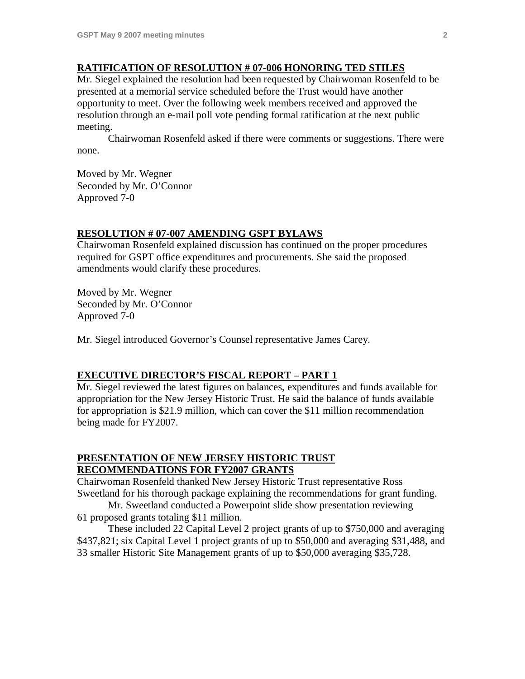## **RATIFICATION OF RESOLUTION # 07-006 HONORING TED STILES**

Mr. Siegel explained the resolution had been requested by Chairwoman Rosenfeld to be presented at a memorial service scheduled before the Trust would have another opportunity to meet. Over the following week members received and approved the resolution through an e-mail poll vote pending formal ratification at the next public meeting.

Chairwoman Rosenfeld asked if there were comments or suggestions. There were none.

Moved by Mr. Wegner Seconded by Mr. O'Connor Approved 7-0

## **RESOLUTION # 07-007 AMENDING GSPT BYLAWS**

Chairwoman Rosenfeld explained discussion has continued on the proper procedures required for GSPT office expenditures and procurements. She said the proposed amendments would clarify these procedures.

Moved by Mr. Wegner Seconded by Mr. O'Connor Approved 7-0

Mr. Siegel introduced Governor's Counsel representative James Carey.

## **EXECUTIVE DIRECTOR'S FISCAL REPORT – PART 1**

Mr. Siegel reviewed the latest figures on balances, expenditures and funds available for appropriation for the New Jersey Historic Trust. He said the balance of funds available for appropriation is \$21.9 million, which can cover the \$11 million recommendation being made for FY2007.

# **PRESENTATION OF NEW JERSEY HISTORIC TRUST RECOMMENDATIONS FOR FY2007 GRANTS**

Chairwoman Rosenfeld thanked New Jersey Historic Trust representative Ross Sweetland for his thorough package explaining the recommendations for grant funding.

Mr. Sweetland conducted a Powerpoint slide show presentation reviewing 61 proposed grants totaling \$11 million.

These included 22 Capital Level 2 project grants of up to \$750,000 and averaging \$437,821; six Capital Level 1 project grants of up to \$50,000 and averaging \$31,488, and 33 smaller Historic Site Management grants of up to \$50,000 averaging \$35,728.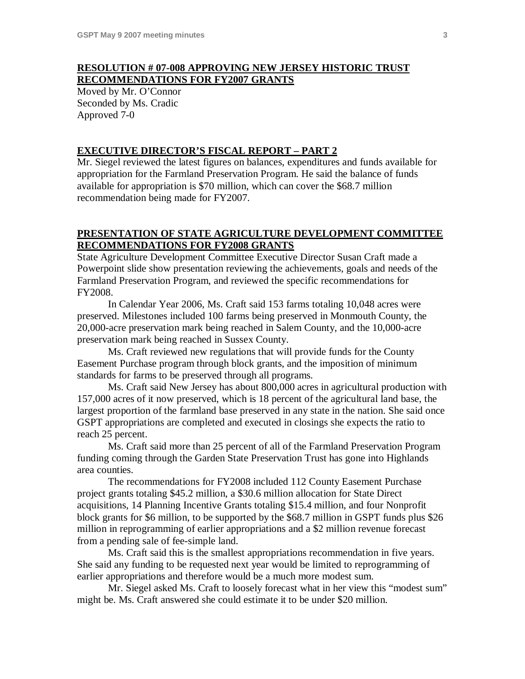## **RESOLUTION # 07-008 APPROVING NEW JERSEY HISTORIC TRUST RECOMMENDATIONS FOR FY2007 GRANTS**

Moved by Mr. O'Connor Seconded by Ms. Cradic Approved 7-0

## **EXECUTIVE DIRECTOR'S FISCAL REPORT – PART 2**

Mr. Siegel reviewed the latest figures on balances, expenditures and funds available for appropriation for the Farmland Preservation Program. He said the balance of funds available for appropriation is \$70 million, which can cover the \$68.7 million recommendation being made for FY2007.

# **PRESENTATION OF STATE AGRICULTURE DEVELOPMENT COMMITTEE RECOMMENDATIONS FOR FY2008 GRANTS**

State Agriculture Development Committee Executive Director Susan Craft made a Powerpoint slide show presentation reviewing the achievements, goals and needs of the Farmland Preservation Program, and reviewed the specific recommendations for FY2008.

In Calendar Year 2006, Ms. Craft said 153 farms totaling 10,048 acres were preserved. Milestones included 100 farms being preserved in Monmouth County, the 20,000-acre preservation mark being reached in Salem County, and the 10,000-acre preservation mark being reached in Sussex County.

Ms. Craft reviewed new regulations that will provide funds for the County Easement Purchase program through block grants, and the imposition of minimum standards for farms to be preserved through all programs.

Ms. Craft said New Jersey has about 800,000 acres in agricultural production with 157,000 acres of it now preserved, which is 18 percent of the agricultural land base, the largest proportion of the farmland base preserved in any state in the nation. She said once GSPT appropriations are completed and executed in closings she expects the ratio to reach 25 percent.

Ms. Craft said more than 25 percent of all of the Farmland Preservation Program funding coming through the Garden State Preservation Trust has gone into Highlands area counties.

The recommendations for FY2008 included 112 County Easement Purchase project grants totaling \$45.2 million, a \$30.6 million allocation for State Direct acquisitions, 14 Planning Incentive Grants totaling \$15.4 million, and four Nonprofit block grants for \$6 million, to be supported by the \$68.7 million in GSPT funds plus \$26 million in reprogramming of earlier appropriations and a \$2 million revenue forecast from a pending sale of fee-simple land.

Ms. Craft said this is the smallest appropriations recommendation in five years. She said any funding to be requested next year would be limited to reprogramming of earlier appropriations and therefore would be a much more modest sum.

Mr. Siegel asked Ms. Craft to loosely forecast what in her view this "modest sum" might be. Ms. Craft answered she could estimate it to be under \$20 million.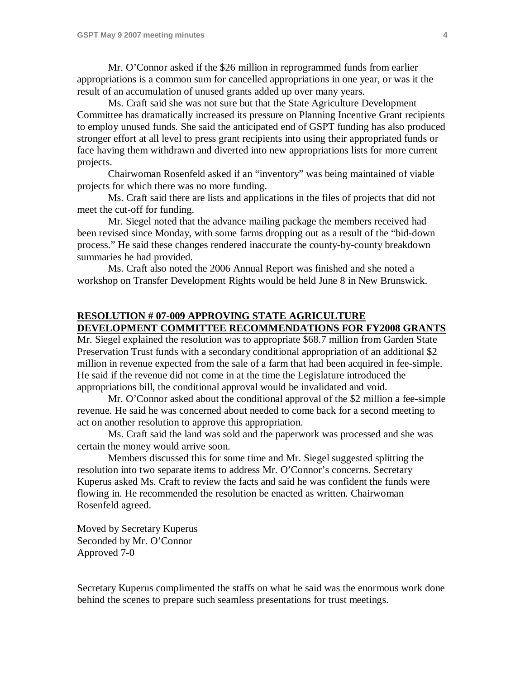Mr. O'Connor asked if the \$26 million in reprogrammed funds from earlier appropriations is a common sum for cancelled appropriations in one year, or was it the result of an accumulation of unused grants added up over many years.

Ms. Craft said she was not sure but that the State Agriculture Development Committee has dramatically increased its pressure on Planning Incentive Grant recipients to employ unused funds. She said the anticipated end of GSPT funding has also produced stronger effort at all level to press grant recipients into using their appropriated funds or face having them withdrawn and diverted into new appropriations lists for more current projects.

Chairwoman Rosenfeld asked if an "inventory" was being maintained of viable projects for which there was no more funding.

Ms. Craft said there are lists and applications in the files of projects that did not meet the cut-off for funding.

Mr. Siegel noted that the advance mailing package the members received had been revised since Monday, with some farms dropping out as a result of the "bid-down process." He said these changes rendered inaccurate the county-by-county breakdown summaries he had provided.

Ms. Craft also noted the 2006 Annual Report was finished and she noted a workshop on Transfer Development Rights would be held June 8 in New Brunswick.

# **RESOLUTION # 07-009 APPROVING STATE AGRICULTURE DEVELOPMENT COMMITTEE RECOMMENDATIONS FOR FY2008 GRANTS**

Mr. Siegel explained the resolution was to appropriate \$68.7 million from Garden State Preservation Trust funds with a secondary conditional appropriation of an additional \$2 million in revenue expected from the sale of a farm that had been acquired in fee-simple. He said if the revenue did not come in at the time the Legislature introduced the appropriations bill, the conditional approval would be invalidated and void.

Mr. O'Connor asked about the conditional approval of the \$2 million a fee-simple revenue. He said he was concerned about needed to come back for a second meeting to act on another resolution to approve this appropriation.

Ms. Craft said the land was sold and the paperwork was processed and she was certain the money would arrive soon.

Members discussed this for some time and Mr. Siegel suggested splitting the resolution into two separate items to address Mr. O'Connor's concerns. Secretary Kuperus asked Ms. Craft to review the facts and said he was confident the funds were flowing in. He recommended the resolution be enacted as written. Chairwoman Rosenfeld agreed.

Moved by Secretary Kuperus Seconded by Mr. O'Connor Approved 7-0

Secretary Kuperus complimented the staffs on what he said was the enormous work done behind the scenes to prepare such seamless presentations for trust meetings.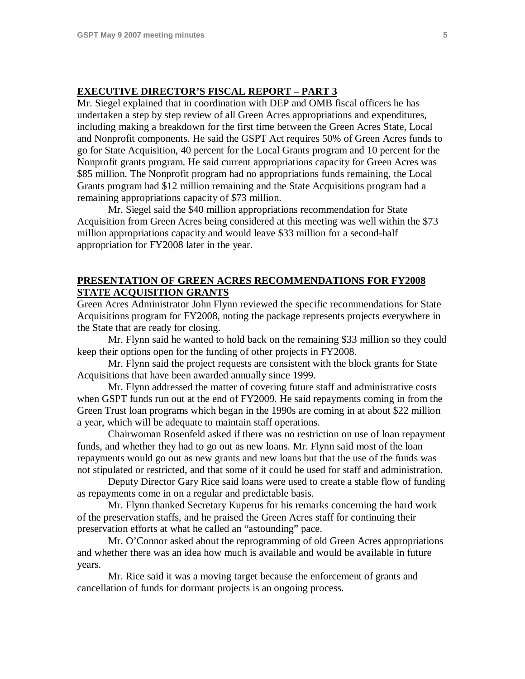# **EXECUTIVE DIRECTOR'S FISCAL REPORT – PART 3**

Mr. Siegel explained that in coordination with DEP and OMB fiscal officers he has undertaken a step by step review of all Green Acres appropriations and expenditures, including making a breakdown for the first time between the Green Acres State, Local and Nonprofit components. He said the GSPT Act requires 50% of Green Acres funds to go for State Acquisition, 40 percent for the Local Grants program and 10 percent for the Nonprofit grants program. He said current appropriations capacity for Green Acres was \$85 million. The Nonprofit program had no appropriations funds remaining, the Local Grants program had \$12 million remaining and the State Acquisitions program had a remaining appropriations capacity of \$73 million.

Mr. Siegel said the \$40 million appropriations recommendation for State Acquisition from Green Acres being considered at this meeting was well within the \$73 million appropriations capacity and would leave \$33 million for a second-half appropriation for FY2008 later in the year.

## **PRESENTATION OF GREEN ACRES RECOMMENDATIONS FOR FY2008 STATE ACQUISITION GRANTS**

Green Acres Administrator John Flynn reviewed the specific recommendations for State Acquisitions program for FY2008, noting the package represents projects everywhere in the State that are ready for closing.

Mr. Flynn said he wanted to hold back on the remaining \$33 million so they could keep their options open for the funding of other projects in FY2008.

Mr. Flynn said the project requests are consistent with the block grants for State Acquisitions that have been awarded annually since 1999.

Mr. Flynn addressed the matter of covering future staff and administrative costs when GSPT funds run out at the end of FY2009. He said repayments coming in from the Green Trust loan programs which began in the 1990s are coming in at about \$22 million a year, which will be adequate to maintain staff operations.

Chairwoman Rosenfeld asked if there was no restriction on use of loan repayment funds, and whether they had to go out as new loans. Mr. Flynn said most of the loan repayments would go out as new grants and new loans but that the use of the funds was not stipulated or restricted, and that some of it could be used for staff and administration.

Deputy Director Gary Rice said loans were used to create a stable flow of funding as repayments come in on a regular and predictable basis.

Mr. Flynn thanked Secretary Kuperus for his remarks concerning the hard work of the preservation staffs, and he praised the Green Acres staff for continuing their preservation efforts at what he called an "astounding" pace.

Mr. O'Connor asked about the reprogramming of old Green Acres appropriations and whether there was an idea how much is available and would be available in future years.

Mr. Rice said it was a moving target because the enforcement of grants and cancellation of funds for dormant projects is an ongoing process.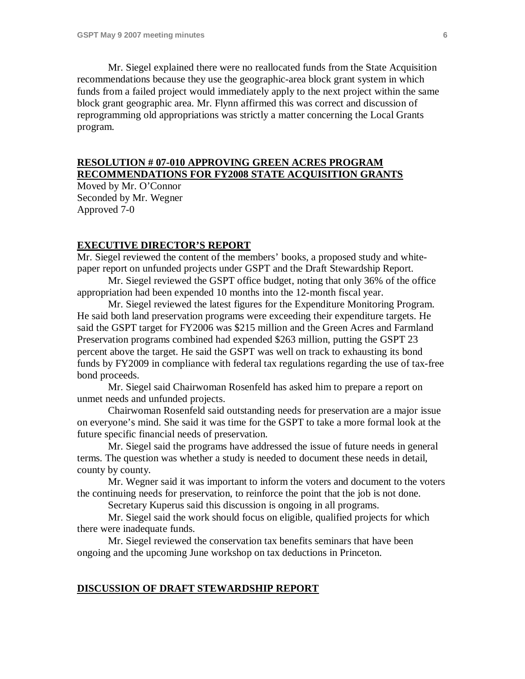Mr. Siegel explained there were no reallocated funds from the State Acquisition recommendations because they use the geographic-area block grant system in which funds from a failed project would immediately apply to the next project within the same block grant geographic area. Mr. Flynn affirmed this was correct and discussion of reprogramming old appropriations was strictly a matter concerning the Local Grants program.

# **RESOLUTION # 07-010 APPROVING GREEN ACRES PROGRAM RECOMMENDATIONS FOR FY2008 STATE ACQUISITION GRANTS**

Moved by Mr. O'Connor Seconded by Mr. Wegner Approved 7-0

## **EXECUTIVE DIRECTOR'S REPORT**

Mr. Siegel reviewed the content of the members' books, a proposed study and whitepaper report on unfunded projects under GSPT and the Draft Stewardship Report.

Mr. Siegel reviewed the GSPT office budget, noting that only 36% of the office appropriation had been expended 10 months into the 12-month fiscal year.

Mr. Siegel reviewed the latest figures for the Expenditure Monitoring Program. He said both land preservation programs were exceeding their expenditure targets. He said the GSPT target for FY2006 was \$215 million and the Green Acres and Farmland Preservation programs combined had expended \$263 million, putting the GSPT 23 percent above the target. He said the GSPT was well on track to exhausting its bond funds by FY2009 in compliance with federal tax regulations regarding the use of tax-free bond proceeds.

Mr. Siegel said Chairwoman Rosenfeld has asked him to prepare a report on unmet needs and unfunded projects.

Chairwoman Rosenfeld said outstanding needs for preservation are a major issue on everyone's mind. She said it was time for the GSPT to take a more formal look at the future specific financial needs of preservation.

Mr. Siegel said the programs have addressed the issue of future needs in general terms. The question was whether a study is needed to document these needs in detail, county by county.

Mr. Wegner said it was important to inform the voters and document to the voters the continuing needs for preservation, to reinforce the point that the job is not done.

Secretary Kuperus said this discussion is ongoing in all programs.

Mr. Siegel said the work should focus on eligible, qualified projects for which there were inadequate funds.

Mr. Siegel reviewed the conservation tax benefits seminars that have been ongoing and the upcoming June workshop on tax deductions in Princeton.

#### **DISCUSSION OF DRAFT STEWARDSHIP REPORT**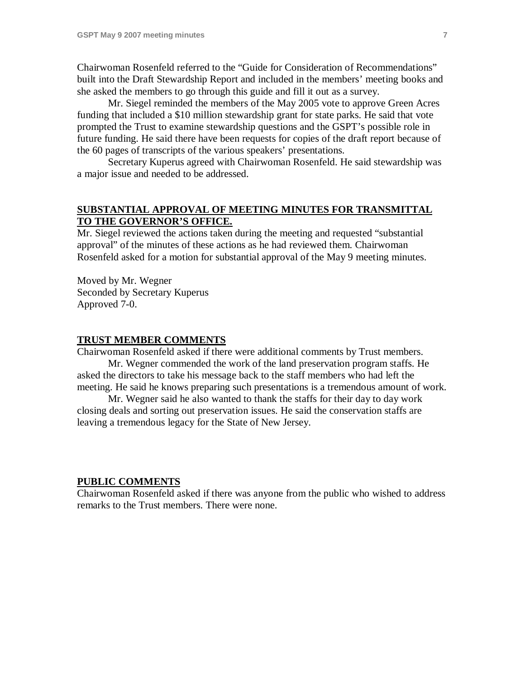Chairwoman Rosenfeld referred to the "Guide for Consideration of Recommendations" built into the Draft Stewardship Report and included in the members' meeting books and she asked the members to go through this guide and fill it out as a survey.

Mr. Siegel reminded the members of the May 2005 vote to approve Green Acres funding that included a \$10 million stewardship grant for state parks. He said that vote prompted the Trust to examine stewardship questions and the GSPT's possible role in future funding. He said there have been requests for copies of the draft report because of the 60 pages of transcripts of the various speakers' presentations.

Secretary Kuperus agreed with Chairwoman Rosenfeld. He said stewardship was a major issue and needed to be addressed.

# **SUBSTANTIAL APPROVAL OF MEETING MINUTES FOR TRANSMITTAL TO THE GOVERNOR'S OFFICE.**

Mr. Siegel reviewed the actions taken during the meeting and requested "substantial approval" of the minutes of these actions as he had reviewed them. Chairwoman Rosenfeld asked for a motion for substantial approval of the May 9 meeting minutes.

Moved by Mr. Wegner Seconded by Secretary Kuperus Approved 7-0.

## **TRUST MEMBER COMMENTS**

Chairwoman Rosenfeld asked if there were additional comments by Trust members. Mr. Wegner commended the work of the land preservation program staffs. He asked the directors to take his message back to the staff members who had left the meeting. He said he knows preparing such presentations is a tremendous amount of work.

Mr. Wegner said he also wanted to thank the staffs for their day to day work closing deals and sorting out preservation issues. He said the conservation staffs are leaving a tremendous legacy for the State of New Jersey.

## **PUBLIC COMMENTS**

Chairwoman Rosenfeld asked if there was anyone from the public who wished to address remarks to the Trust members. There were none.